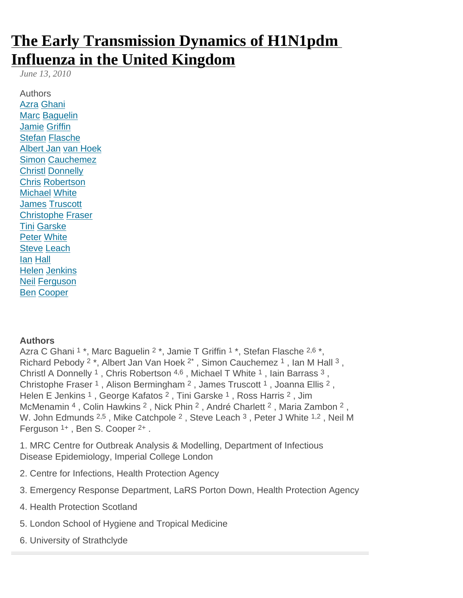# [The Early Transmission Dynamics of H1N1pdm](http://currents.plos.org/influenza/article/the-early-transmission-dynamics-of-51duunh62f6w-1/) [Influenza in the United Kingdom](http://currents.plos.org/influenza/article/the-early-transmission-dynamics-of-51duunh62f6w-1/)

June 13, 2010

Authors Azra Ghani **Marc Baguelin** Jamie Griffin Stefan Flasche Albert Jan van Hoek Simon Cauchemez Christl Donnelly Chris Robertson Michael White James Truscott Christophe Fraser Tini Garske Peter White Steve Leach Ian Hall Helen Jenkins Neil Ferguson Ben Cooper

**Authors** 

Azra C Ghani <sup>1</sup> \*, Marc Baguelin <sup>2</sup> \*, Jamie T Griffin <sup>1</sup> \*, Stefan Flasche <sup>2,6</sup> \*, Richard Pebody <sup>2</sup> \*, Albert Jan Van Hoek <sup>2\*</sup>, Simon Cauchemez <sup>1</sup>, Ian M Hall <sup>3</sup>, Christl A Donnelly <sup>1</sup>, Chris Robertson <sup>4,6</sup>, Michael T White <sup>1</sup>, Iain Barrass <sup>3</sup>, Christophe Fraser<sup>1</sup>, Alison Bermingham<sup>2</sup>, James Truscott<sup>1</sup>, Joanna Ellis<sup>2</sup>, Helen E Jenkins <sup>1</sup>, George Kafatos <sup>2</sup>, Tini Garske <sup>1</sup>, Ross Harris <sup>2</sup>, Jim McMenamin <sup>4</sup>, Colin Hawkins <sup>2</sup>, Nick Phin <sup>2</sup>, André Charlett <sup>2</sup>, Maria Zambon <sup>2</sup>, W. John Edmunds 2,5, Mike Catchpole <sup>2</sup>, Steve Leach <sup>3</sup>, Peter J White <sup>1,2</sup>, Neil M Ferguson <sup>1+</sup>, Ben S. Cooper <sup>2+</sup>.

1. MRC Centre for Outbreak Analysis & Modelling, Department of Infectious Disease Epidemiology, Imperial College London

- 2. Centre for Infections, Health Protection Agency
- 3. Emergency Response Department, LaRS Porton Down, Health Protection Agency
- 4. Health Protection Scotland
- 5. London School of Hygiene and Tropical Medicine
- 6. University of Strathclyde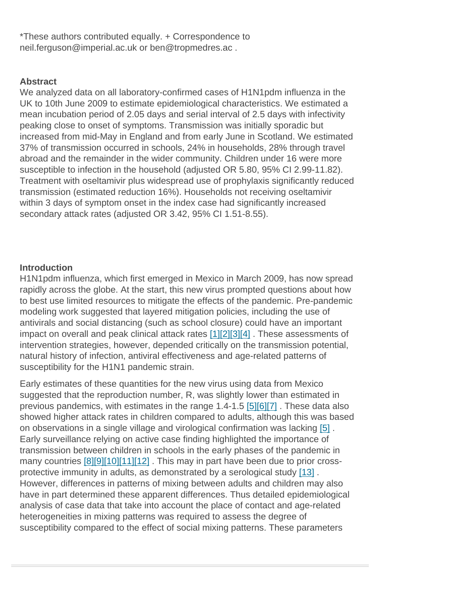\*These authors contributed equally. + Correspondence to neil.ferguson@imperial.ac.uk or ben@tropmedres.ac .

## **Abstract**

We analyzed data on all laboratory-confirmed cases of H1N1pdm influenza in the UK to 10th June 2009 to estimate epidemiological characteristics. We estimated a mean incubation period of 2.05 days and serial interval of 2.5 days with infectivity peaking close to onset of symptoms. Transmission was initially sporadic but increased from mid-May in England and from early June in Scotland. We estimated 37% of transmission occurred in schools, 24% in households, 28% through travel abroad and the remainder in the wider community. Children under 16 were more susceptible to infection in the household (adjusted OR 5.80, 95% CI 2.99-11.82). Treatment with oseltamivir plus widespread use of prophylaxis significantly reduced transmission (estimated reduction 16%). Households not receiving oseltamivir within 3 days of symptom onset in the index case had significantly increased secondary attack rates (adjusted OR 3.42, 95% CI 1.51-8.55).

# **Introduction**

H1N1pdm influenza, which first emerged in Mexico in March 2009, has now spread rapidly across the globe. At the start, this new virus prompted questions about how to best use limited resources to mitigate the effects of the pandemic. Pre-pandemic modeling work suggested that layered mitigation policies, including the use of antivirals and social distancing (such as school closure) could have an important impact on overall and peak clinical attack rates [1][2][3][4] . These assessments of intervention strategies, however, depended critically on the transmission potential, natural history of infection, antiviral effectiveness and age-related patterns of susceptibility for the H1N1 pandemic strain.

Early estimates of these quantities for the new virus using data from Mexico suggested that the reproduction number, R, was slightly lower than estimated in previous pandemics, with estimates in the range 1.4-1.5 [5][6][7] . These data also showed higher attack rates in children compared to adults, although this was based on observations in a single village and virological confirmation was lacking [5] . Early surveillance relying on active case finding highlighted the importance of transmission between children in schools in the early phases of the pandemic in many countries [8][9][10][11][12]. This may in part have been due to prior crossprotective immunity in adults, as demonstrated by a serological study [13] . However, differences in patterns of mixing between adults and children may also have in part determined these apparent differences. Thus detailed epidemiological analysis of case data that take into account the place of contact and age-related heterogeneities in mixing patterns was required to assess the degree of susceptibility compared to the effect of social mixing patterns. These parameters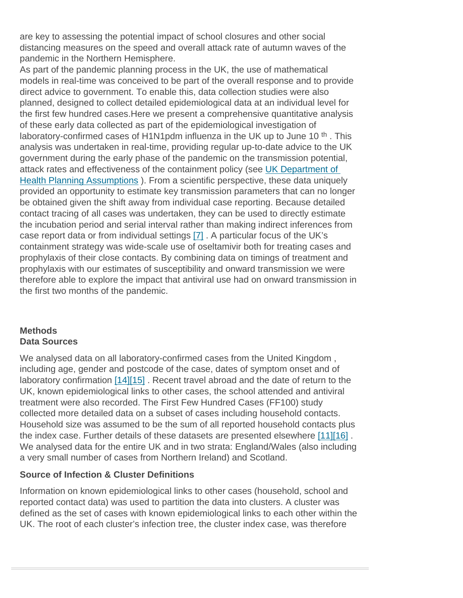are key to assessing the potential impact of school closures and other social distancing measures on the speed and overall attack rate of autumn waves of the pandemic in the Northern Hemisphere.

As part of the pandemic planning process in the UK, the use of mathematical models in real-time was conceived to be part of the overall response and to provide direct advice to government. To enable this, data collection studies were also planned, designed to collect detailed epidemiological data at an individual level for the first few hundred cases.Here we present a comprehensive quantitative analysis of these early data collected as part of the epidemiological investigation of laboratory-confirmed cases of H1N1pdm influenza in the UK up to June 10<sup>th</sup>. This analysis was undertaken in real-time, providing regular up-to-date advice to the UK government during the early phase of the pandemic on the transmission potential, attack rates and effectiveness of the containment policy (see [UK Department of](http://www.dh.gov.uk/en/Publicationsandstatistics/Publications/PublicationsPolicyAndGuidance/DH_102892)  [Health Planning Assumptions](http://www.dh.gov.uk/en/Publicationsandstatistics/Publications/PublicationsPolicyAndGuidance/DH_102892) ). From a scientific perspective, these data uniquely provided an opportunity to estimate key transmission parameters that can no longer be obtained given the shift away from individual case reporting. Because detailed contact tracing of all cases was undertaken, they can be used to directly estimate the incubation period and serial interval rather than making indirect inferences from case report data or from individual settings [7] . A particular focus of the UK's containment strategy was wide-scale use of oseltamivir both for treating cases and prophylaxis of their close contacts. By combining data on timings of treatment and prophylaxis with our estimates of susceptibility and onward transmission we were therefore able to explore the impact that antiviral use had on onward transmission in the first two months of the pandemic.

## **Methods** Data Sources

We analysed data on all laboratory-confirmed cases from the United Kingdom , including age, gender and postcode of the case, dates of symptom onset and of laboratory confirmation [14][15] . Recent travel abroad and the date of return to the UK, known epidemiological links to other cases, the school attended and antiviral treatment were also recorded. The First Few Hundred Cases (FF100) study collected more detailed data on a subset of cases including household contacts. Household size was assumed to be the sum of all reported household contacts plus the index case. Further details of these datasets are presented elsewhere [11][16] . We analysed data for the entire UK and in two strata: England/Wales (also including a very small number of cases from Northern Ireland) and Scotland.

# Source of Infection & Cluster Definitions

Information on known epidemiological links to other cases (household, school and reported contact data) was used to partition the data into clusters. A cluster was defined as the set of cases with known epidemiological links to each other within the UK. The root of each cluster's infection tree, the cluster index case, was therefore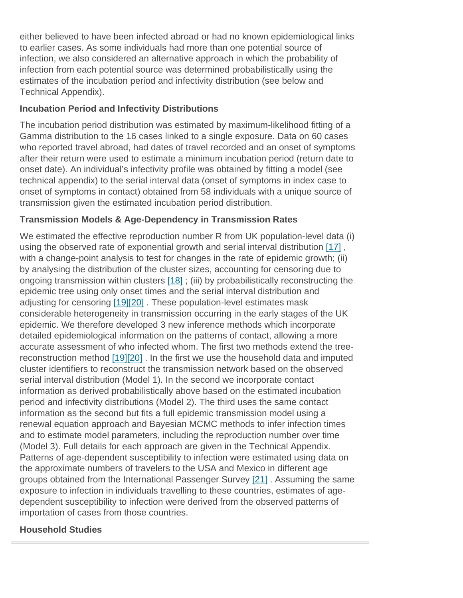either believed to have been infected abroad or had no known epidemiological links to earlier cases. As some individuals had more than one potential source of infection, we also considered an alternative approach in which the probability of infection from each potential source was determined probabilistically using the estimates of the incubation period and infectivity distribution (see below and Technical Appendix).

#### Incubation Period and Infectivity Distributions

The incubation period distribution was estimated by maximum-likelihood fitting of a Gamma distribution to the 16 cases linked to a single exposure. Data on 60 cases who reported travel abroad, had dates of travel recorded and an onset of symptoms after their return were used to estimate a minimum incubation period (return date to onset date). An individual's infectivity profile was obtained by fitting a model (see technical appendix) to the serial interval data (onset of symptoms in index case to onset of symptoms in contact) obtained from 58 individuals with a unique source of transmission given the estimated incubation period distribution.

## Transmission Models & Age-Dependency in Transmission Rates

We estimated the effective reproduction number R from UK population-level data (i) using the observed rate of exponential growth and serial interval distribution [17], with a change-point analysis to test for changes in the rate of epidemic growth; (ii) by analysing the distribution of the cluster sizes, accounting for censoring due to ongoing transmission within clusters [18] ; (iii) by probabilistically reconstructing the epidemic tree using only onset times and the serial interval distribution and adjusting for censoring [19][20] . These population-level estimates mask considerable heterogeneity in transmission occurring in the early stages of the UK epidemic. We therefore developed 3 new inference methods which incorporate detailed epidemiological information on the patterns of contact, allowing a more accurate assessment of who infected whom. The first two methods extend the treereconstruction method [19][20] . In the first we use the household data and imputed cluster identifiers to reconstruct the transmission network based on the observed serial interval distribution (Model 1). In the second we incorporate contact information as derived probabilistically above based on the estimated incubation period and infectivity distributions (Model 2). The third uses the same contact information as the second but fits a full epidemic transmission model using a renewal equation approach and Bayesian MCMC methods to infer infection times and to estimate model parameters, including the reproduction number over time (Model 3). Full details for each approach are given in the Technical Appendix. Patterns of age-dependent susceptibility to infection were estimated using data on the approximate numbers of travelers to the USA and Mexico in different age groups obtained from the International Passenger Survey [21] . Assuming the same exposure to infection in individuals travelling to these countries, estimates of agedependent susceptibility to infection were derived from the observed patterns of importation of cases from those countries.

Household Studies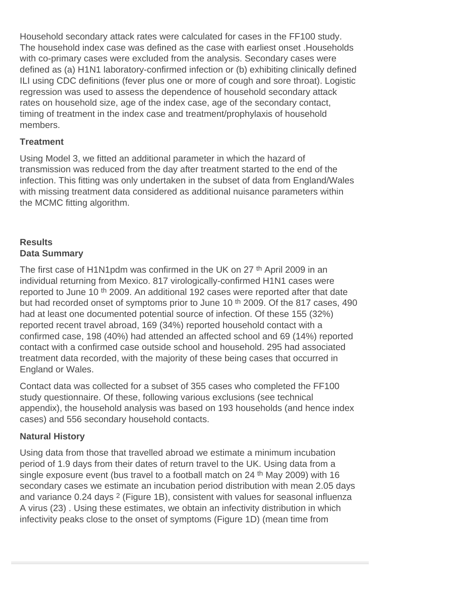Household secondary attack rates were calculated for cases in the FF100 study. The household index case was defined as the case with earliest onset .Households with co-primary cases were excluded from the analysis. Secondary cases were defined as (a) H1N1 laboratory-confirmed infection or (b) exhibiting clinically defined ILI using CDC definitions (fever plus one or more of cough and sore throat). Logistic regression was used to assess the dependence of household secondary attack rates on household size, age of the index case, age of the secondary contact, timing of treatment in the index case and treatment/prophylaxis of household members.

# **Treatment**

Using Model 3, we fitted an additional parameter in which the hazard of transmission was reduced from the day after treatment started to the end of the infection. This fitting was only undertaken in the subset of data from England/Wales with missing treatment data considered as additional nuisance parameters within the MCMC fitting algorithm.

# **Results Data Summary**

The first case of H1N1pdm was confirmed in the UK on 27<sup>th</sup> April 2009 in an individual returning from Mexico. 817 virologically-confirmed H1N1 cases were reported to June 10 th 2009. An additional 192 cases were reported after that date but had recorded onset of symptoms prior to June 10<sup>th</sup> 2009. Of the 817 cases, 490 had at least one documented potential source of infection. Of these 155 (32%) reported recent travel abroad, 169 (34%) reported household contact with a confirmed case, 198 (40%) had attended an affected school and 69 (14%) reported contact with a confirmed case outside school and household. 295 had associated treatment data recorded, with the majority of these being cases that occurred in England or Wales.

Contact data was collected for a subset of 355 cases who completed the FF100 study questionnaire. Of these, following various exclusions (see technical appendix), the household analysis was based on 193 households (and hence index cases) and 556 secondary household contacts.

# **Natural History**

Using data from those that travelled abroad we estimate a minimum incubation period of 1.9 days from their dates of return travel to the UK. Using data from a single exposure event (bus travel to a football match on 24<sup>th</sup> May 2009) with 16 secondary cases we estimate an incubation period distribution with mean 2.05 days and variance 0.24 days 2 (Figure 1B), consistent with values for seasonal influenza A virus (23) . Using these estimates, we obtain an infectivity distribution in which infectivity peaks close to the onset of symptoms (Figure 1D) (mean time from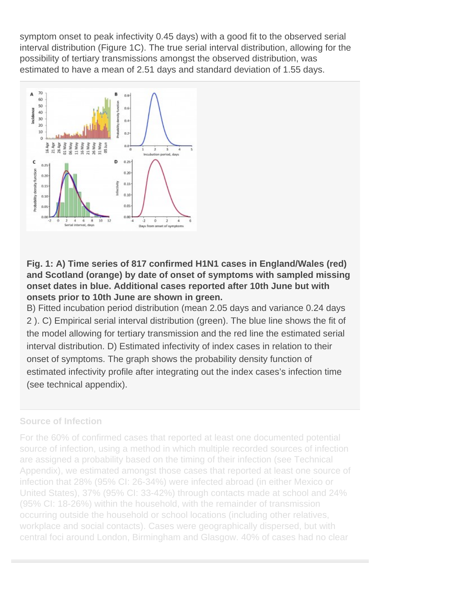symptom onset to peak infectivity 0.45 days) with a good fit to the observed serial interval distribution (Figure 1C). The true serial interval distribution, allowing for the possibility of tertiary transmissions amongst the observed distribution, was estimated to have a mean of 2.51 days and standard deviation of 1.55 days.

Fig. 1: A) Time series of 817 confirmed H1N1 cases in England/Wales (red) and Scotland (orange) by date of onset of symptoms with sampled missing onset dates in blue. Additional cases reported after 10th June but with onsets prior to 10th June are shown in green.

B) Fitted incubation period distribution (mean 2.05 days and variance 0.24 days 2 ). C) Empirical serial interval distribution (green). The blue line shows the fit of the model allowing for tertiary transmission and the red line the estimated serial interval distribution. D) Estimated infectivity of index cases in relation to their onset of symptoms. The graph shows the probability density function of estimated infectivity profile after integrating out the index cases's infection time (see technical appendix).

#### Source of Infection

For the 60% of confirmed cases that reported at least one documented potential source of infection, using a method in which multiple recorded sources of infection are assigned a probability based on the timing of their infection (see Technical Appendix), we estimated amongst those cases that reported at least one source of infection that 28% (95% CI: 26-34%) were infected abroad (in either Mexico or United States), 37% (95% CI: 33-42%) through contacts made at school and 24% (95% CI: 18-26%) within the household, with the remainder of transmission occurring outside the household or school locations (including other relatives, workplace and social contacts). Cases were geographically dispersed, but with central foci around London, Birmingham and Glasgow. 40% of cases had no clear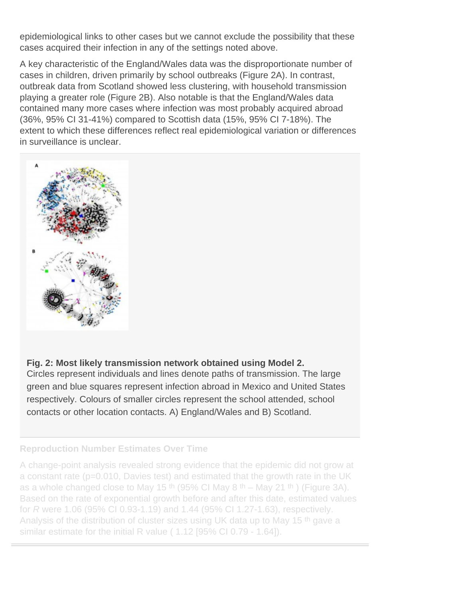epidemiological links to other cases but we cannot exclude the possibility that these cases acquired their infection in any of the settings noted above.

A key characteristic of the England/Wales data was the disproportionate number of cases in children, driven primarily by school outbreaks (Figure 2A). In contrast, outbreak data from Scotland showed less clustering, with household transmission playing a greater role (Figure 2B). Also notable is that the England/Wales data contained many more cases where infection was most probably acquired abroad (36%, 95% CI 31-41%) compared to Scottish data (15%, 95% CI 7-18%). The extent to which these differences reflect real epidemiological variation or differences in surveillance is unclear.

Fig. 2: Most likely transmission network obtained using Model 2. Circles represent individuals and lines denote paths of transmission. The large green and blue squares represent infection abroad in Mexico and United States respectively. Colours of smaller circles represent the school attended, school contacts or other location contacts. A) England/Wales and B) Scotland.

Reproduction Number Estimates Over Time

A change-point analysis revealed strong evidence that the epidemic did not grow at a constant rate (p=0.010, Davies test) and estimated that the growth rate in the UK as a whole changed close to May 15 <sup>th</sup> (95% CI May 8 <sup>th</sup> – May 21 <sup>th</sup>) (Figure 3A). Based on the rate of exponential growth before and after this date, estimated values for R were 1.06 (95% CI 0.93-1.19) and 1.44 (95% CI 1.27-1.63), respectively. Analysis of the distribution of cluster sizes using UK data up to May 15<sup>th</sup> gave a similar estimate for the initial R value ( 1.12 [95% CI 0.79 - 1.64]).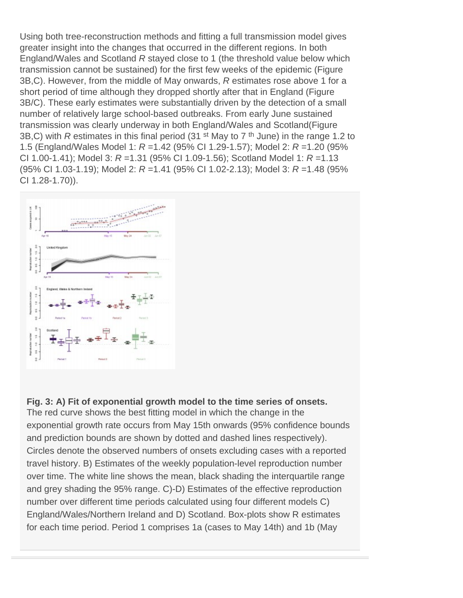Using both tree-reconstruction methods and fitting a full transmission model gives greater insight into the changes that occurred in the different regions. In both England/Wales and Scotland R stayed close to 1 (the threshold value below which transmission cannot be sustained) for the first few weeks of the epidemic (Figure 3B,C). However, from the middle of May onwards, R estimates rose above 1 for a short period of time although they dropped shortly after that in England (Figure 3B/C). These early estimates were substantially driven by the detection of a small number of relatively large school-based outbreaks. From early June sustained transmission was clearly underway in both England/Wales and Scotland(Figure 3B, C) with R estimates in this final period (31 st May to 7 <sup>th</sup> June) in the range 1.2 to 1.5 (England/Wales Model 1: R =1.42 (95% CI 1.29-1.57); Model 2: R =1.20 (95% CI 1.00-1.41); Model 3: R = 1.31 (95% CI 1.09-1.56); Scotland Model 1: R = 1.13 (95% CI 1.03-1.19); Model 2: R =1.41 (95% CI 1.02-2.13); Model 3: R =1.48 (95% CI 1.28-1.70)).

Fig. 3: A) Fit of exponential growth model to the time series of onsets. The red curve shows the best fitting model in which the change in the exponential growth rate occurs from May 15th onwards (95% confidence bounds and prediction bounds are shown by dotted and dashed lines respectively). Circles denote the observed numbers of onsets excluding cases with a reported travel history. B) Estimates of the weekly population-level reproduction number over time. The white line shows the mean, black shading the interquartile range and grey shading the 95% range. C)-D) Estimates of the effective reproduction number over different time periods calculated using four different models C) England/Wales/Northern Ireland and D) Scotland. Box-plots show R estimates for each time period. Period 1 comprises 1a (cases to May 14th) and 1b (May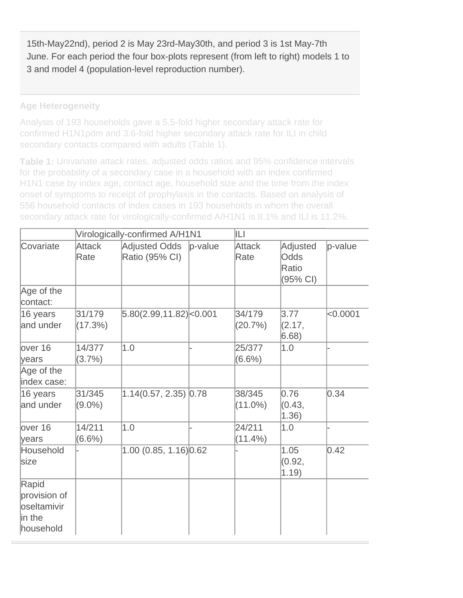15th-May22nd), period 2 is May 23rd-May30th, and period 3 is 1st May-7th June. For each period the four box-plots represent (from left to right) models 1 to 3 and model 4 (population-level reproduction number).

**Age Heterogeneity**

Analysis of 193 households gave a 5.5-fold higher secondary attack rate for confirmed H1N1pdm and 3.6-fold higher secondary attack rate for ILI in child secondary contacts compared with adults (Table 1).

**Table 1:** Univariate attack rates, adjusted odds ratios and 95% confidence intervals for the probability of a secondary case in a household with an index confirmed H1N1 case by index age, contact age, household size and the time from the index onset of symptoms to receipt of prophylaxis in the contacts. Based on analysis of 556 household contacts of index cases in 193 households in whom the overall secondary attack rate for virologically-confirmed A/H1N1 is 8.1% and ILI is 11.2%.

|                                                               |                     | Virologically-confirmed A/H1N1  | ILI.       |                       |                                       |          |
|---------------------------------------------------------------|---------------------|---------------------------------|------------|-----------------------|---------------------------------------|----------|
| Covariate                                                     | Attack<br>Rate      | Adjusted Odds<br>Ratio (95% CI) | $p$ -value | <b>Attack</b><br>Rate | Adjusted<br>Odds<br>Ratio<br>(95% CI) | p-value  |
| Age of the<br>contact:                                        |                     |                                 |            |                       |                                       |          |
| 16 years<br>and under                                         | 31/179<br>(17.3%)   | 5.80(2.99, 11.82) <0.001        |            | 34/179<br>(20.7%)     | 3.77<br>(2.17,<br>6.68)               | < 0.0001 |
| lover 16<br>lyears                                            | 14/377<br>$(3.7\%)$ | 1.0                             |            | 25/377<br>$(6.6\%)$   | 1.0                                   |          |
| Age of the<br>index case:                                     |                     |                                 |            |                       |                                       |          |
| 16 years<br>and under                                         | 31/345<br>$(9.0\%)$ | $1.14(0.57, 2.35)$ 0.78         |            | 38/345<br>$(11.0\%)$  | 0.76<br>(0.43,<br>1.36)               | 0.34     |
| lover 16<br>years                                             | 14/211<br>$(6.6\%)$ | 1.0                             |            | 24/211<br>$(11.4\%)$  | 1.0                                   |          |
| Household<br>size                                             |                     | 1.00(0.85, 1.16)0.62            |            |                       | 1.05<br>(0.92,<br>1.19                | 0.42     |
| Rapid<br>provision of<br>loseltamivir<br>lin the<br>household |                     |                                 |            |                       |                                       |          |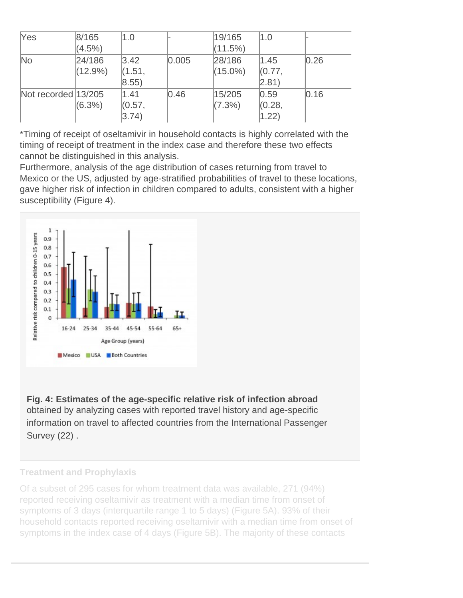| Yes                    | 8/165      | 1.0            |       | 19/165     | 1.0            |      |
|------------------------|------------|----------------|-------|------------|----------------|------|
|                        | $(4.5\%)$  |                |       | (11.5%)    |                |      |
| $\overline{\text{No}}$ | 24/186     | 3.42           | 0.005 | 28/186     | 1.45           | 0.26 |
|                        | $(12.9\%)$ | (1.51,         |       | $(15.0\%)$ | (0.77,         |      |
|                        |            | $ 8.55\rangle$ |       |            | $ 2.81\rangle$ |      |
| Not recorded 13/205    |            | 1.41           | 0.46  | 15/205     | 0.59           | 0.16 |
|                        | $(6.3\%)$  | (0.57,         |       | $(7.3\%)$  | (0.28,         |      |
|                        |            | $ 3.74\rangle$ |       |            | 1.22)          |      |

\*Timing of receipt of oseltamivir in household contacts is highly correlated with the timing of receipt of treatment in the index case and therefore these two effects cannot be distinguished in this analysis.

Furthermore, analysis of the age distribution of cases returning from travel to Mexico or the US, adjusted by age-stratified probabilities of travel to these locations, gave higher risk of infection in children compared to adults, consistent with a higher susceptibility (Figure 4).

Fig. 4: Estimates of the age-specific relative risk of infection abroad obtained by analyzing cases with reported travel history and age-specific information on travel to affected countries from the International Passenger Survey (22) .

#### Treatment and Prophylaxis

Of a subset of 295 cases for whom treatment data was available, 271 (94%) reported receiving oseltamivir as treatment with a median time from onset of symptoms of 3 days (interquartile range 1 to 5 days) (Figure 5A). 93% of their household contacts reported receiving oseltamivir with a median time from onset of symptoms in the index case of 4 days (Figure 5B). The majority of these contacts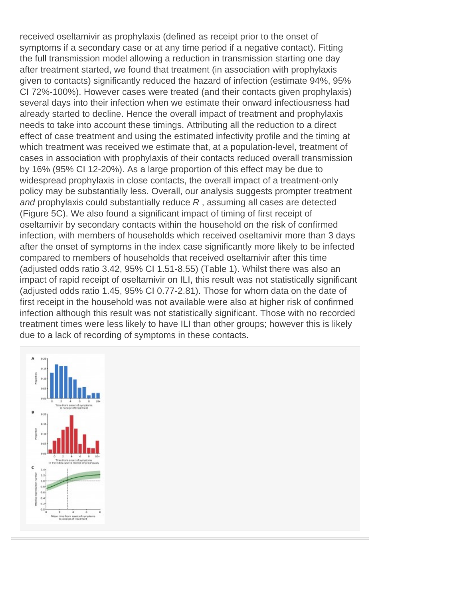received oseltamivir as prophylaxis (defined as receipt prior to the onset of symptoms if a secondary case or at any time period if a negative contact). Fitting the full transmission model allowing a reduction in transmission starting one day after treatment started, we found that treatment (in association with prophylaxis given to contacts) significantly reduced the hazard of infection (estimate 94%, 95% CI 72%-100%). However cases were treated (and their contacts given prophylaxis) several days into their infection when we estimate their onward infectiousness had already started to decline. Hence the overall impact of treatment and prophylaxis needs to take into account these timings. Attributing all the reduction to a direct effect of case treatment and using the estimated infectivity profile and the timing at which treatment was received we estimate that, at a population-level, treatment of cases in association with prophylaxis of their contacts reduced overall transmission by 16% (95% CI 12-20%). As a large proportion of this effect may be due to widespread prophylaxis in close contacts, the overall impact of a treatment-only policy may be substantially less. Overall, our analysis suggests prompter treatment and prophylaxis could substantially reduce R , assuming all cases are detected (Figure 5C). We also found a significant impact of timing of first receipt of oseltamivir by secondary contacts within the household on the risk of confirmed infection, with members of households which received oseltamivir more than 3 days after the onset of symptoms in the index case significantly more likely to be infected compared to members of households that received oseltamivir after this time (adjusted odds ratio 3.42, 95% CI 1.51-8.55) (Table 1). Whilst there was also an impact of rapid receipt of oseltamivir on ILI, this result was not statistically significant (adjusted odds ratio 1.45, 95% CI 0.77-2.81). Those for whom data on the date of first receipt in the household was not available were also at higher risk of confirmed infection although this result was not statistically significant. Those with no recorded treatment times were less likely to have ILI than other groups; however this is likely due to a lack of recording of symptoms in these contacts.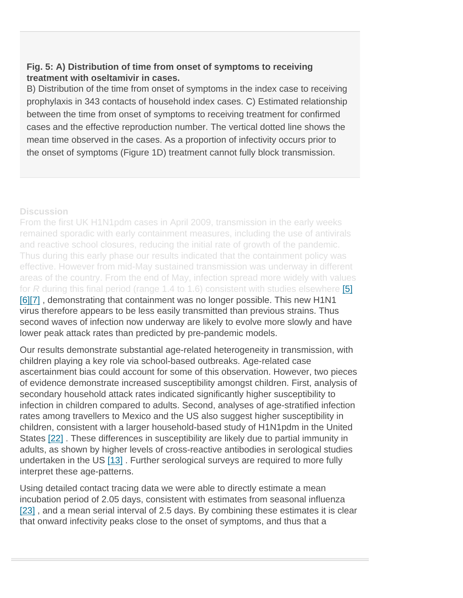Fig. 5: A) Distribution of time from onset of symptoms to receiving treatment with oseltamivir in cases.

B) Distribution of the time from onset of symptoms in the index case to receiving prophylaxis in 343 contacts of household index cases. C) Estimated relationship between the time from onset of symptoms to receiving treatment for confirmed cases and the effective reproduction number. The vertical dotted line shows the mean time observed in the cases. As a proportion of infectivity occurs prior to the onset of symptoms (Figure 1D) treatment cannot fully block transmission.

**Discussion** 

From the first UK H1N1pdm cases in April 2009, transmission in the early weeks remained sporadic with early containment measures, including the use of antivirals and reactive school closures, reducing the initial rate of growth of the pandemic. Thus during this early phase our results indicated that the containment policy was effective. However from mid-May sustained transmission was underway in different areas of the country. From the end of May, infection spread more widely with values for R during this final period (range 1.4 to 1.6) consistent with studies elsewhere [5] [6][7] , demonstrating that containment was no longer possible. This new H1N1 virus therefore appears to be less easily transmitted than previous strains. Thus second waves of infection now underway are likely to evolve more slowly and have lower peak attack rates than predicted by pre-pandemic models.

Our results demonstrate substantial age-related heterogeneity in transmission, with children playing a key role via school-based outbreaks. Age-related case ascertainment bias could account for some of this observation. However, two pieces of evidence demonstrate increased susceptibility amongst children. First, analysis of secondary household attack rates indicated significantly higher susceptibility to infection in children compared to adults. Second, analyses of age-stratified infection rates among travellers to Mexico and the US also suggest higher susceptibility in children, consistent with a larger household-based study of H1N1pdm in the United States [22] . These differences in susceptibility are likely due to partial immunity in adults, as shown by higher levels of cross-reactive antibodies in serological studies undertaken in the US [13]. Further serological surveys are required to more fully interpret these age-patterns.

Using detailed contact tracing data we were able to directly estimate a mean incubation period of 2.05 days, consistent with estimates from seasonal influenza [23], and a mean serial interval of 2.5 days. By combining these estimates it is clear that onward infectivity peaks close to the onset of symptoms, and thus that a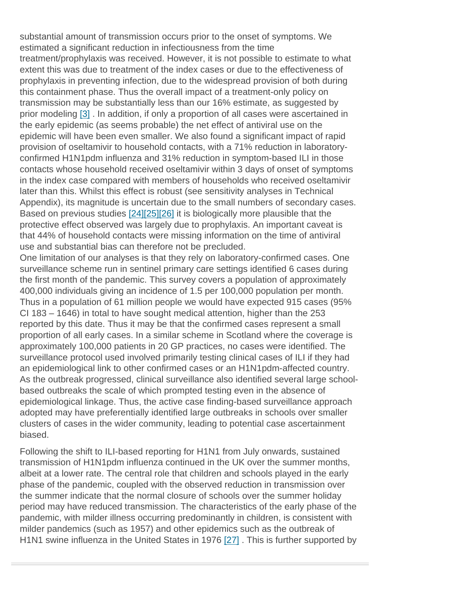substantial amount of transmission occurs prior to the onset of symptoms. We estimated a significant reduction in infectiousness from the time treatment/prophylaxis was received. However, it is not possible to estimate to what extent this was due to treatment of the index cases or due to the effectiveness of prophylaxis in preventing infection, due to the widespread provision of both during this containment phase. Thus the overall impact of a treatment-only policy on transmission may be substantially less than our 16% estimate, as suggested by prior modeling [3]. In addition, if only a proportion of all cases were ascertained in the early epidemic (as seems probable) the net effect of antiviral use on the epidemic will have been even smaller. We also found a significant impact of rapid provision of oseltamivir to household contacts, with a 71% reduction in laboratoryconfirmed H1N1pdm influenza and 31% reduction in symptom-based ILI in those contacts whose household received oseltamivir within 3 days of onset of symptoms in the index case compared with members of households who received oseltamivir later than this. Whilst this effect is robust (see sensitivity analyses in Technical Appendix), its magnitude is uncertain due to the small numbers of secondary cases. Based on previous studies [24][25][26] it is biologically more plausible that the protective effect observed was largely due to prophylaxis. An important caveat is that 44% of household contacts were missing information on the time of antiviral use and substantial bias can therefore not be precluded.

One limitation of our analyses is that they rely on laboratory-confirmed cases. One surveillance scheme run in sentinel primary care settings identified 6 cases during the first month of the pandemic. This survey covers a population of approximately 400,000 individuals giving an incidence of 1.5 per 100,000 population per month. Thus in a population of 61 million people we would have expected 915 cases (95% CI 183 – 1646) in total to have sought medical attention, higher than the 253 reported by this date. Thus it may be that the confirmed cases represent a small proportion of all early cases. In a similar scheme in Scotland where the coverage is approximately 100,000 patients in 20 GP practices, no cases were identified. The surveillance protocol used involved primarily testing clinical cases of ILI if they had an epidemiological link to other confirmed cases or an H1N1pdm-affected country. As the outbreak progressed, clinical surveillance also identified several large schoolbased outbreaks the scale of which prompted testing even in the absence of epidemiological linkage. Thus, the active case finding-based surveillance approach adopted may have preferentially identified large outbreaks in schools over smaller clusters of cases in the wider community, leading to potential case ascertainment biased.

Following the shift to ILI-based reporting for H1N1 from July onwards, sustained transmission of H1N1pdm influenza continued in the UK over the summer months, albeit at a lower rate. The central role that children and schools played in the early phase of the pandemic, coupled with the observed reduction in transmission over the summer indicate that the normal closure of schools over the summer holiday period may have reduced transmission. The characteristics of the early phase of the pandemic, with milder illness occurring predominantly in children, is consistent with milder pandemics (such as 1957) and other epidemics such as the outbreak of H1N1 swine influenza in the United States in 1976 [27] . This is further supported by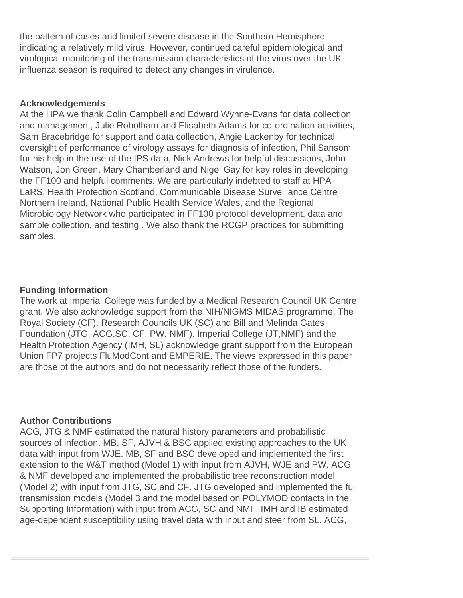the pattern of cases and limited severe disease in the Southern Hemisphere indicating a relatively mild virus. However, continued careful epidemiological and virological monitoring of the transmission characteristics of the virus over the UK influenza season is required to detect any changes in virulence.

## **Acknowledgements**

At the HPA we thank Colin Campbell and Edward Wynne-Evans for data collection and management, Julie Robotham and Elisabeth Adams for co-ordination activities, Sam Bracebridge for support and data collection, Angie Lackenby for technical oversight of performance of virology assays for diagnosis of infection, Phil Sansom for his help in the use of the IPS data, Nick Andrews for helpful discussions, John Watson, Jon Green, Mary Chamberland and Nigel Gay for key roles in developing the FF100 and helpful comments. We are particularly indebted to staff at HPA LaRS, Health Protection Scotland, Communicable Disease Surveillance Centre Northern Ireland, National Public Health Service Wales, and the Regional Microbiology Network who participated in FF100 protocol development, data and sample collection, and testing . We also thank the RCGP practices for submitting samples.

#### **Funding Information**

The work at Imperial College was funded by a Medical Research Council UK Centre grant. We also acknowledge support from the NIH/NIGMS MIDAS programme, The Royal Society (CF), Research Councils UK (SC) and Bill and Melinda Gates Foundation (JTG, ACG,SC, CF, PW, NMF). Imperial College (JT,NMF) and the Health Protection Agency (IMH, SL) acknowledge grant support from the European Union FP7 projects FluModCont and EMPERIE. The views expressed in this paper are those of the authors and do not necessarily reflect those of the funders.

#### **Author Contributions**

ACG, JTG & NMF estimated the natural history parameters and probabilistic sources of infection. MB, SF, AJVH & BSC applied existing approaches to the UK data with input from WJE. MB, SF and BSC developed and implemented the first extension to the W&T method (Model 1) with input from AJVH, WJE and PW. ACG & NMF developed and implemented the probabilistic tree reconstruction model (Model 2) with input from JTG, SC and CF. JTG developed and implemented the full transmission models (Model 3 and the model based on POLYMOD contacts in the Supporting Information) with input from ACG, SC and NMF. IMH and IB estimated age-dependent susceptibility using travel data with input and steer from SL. ACG,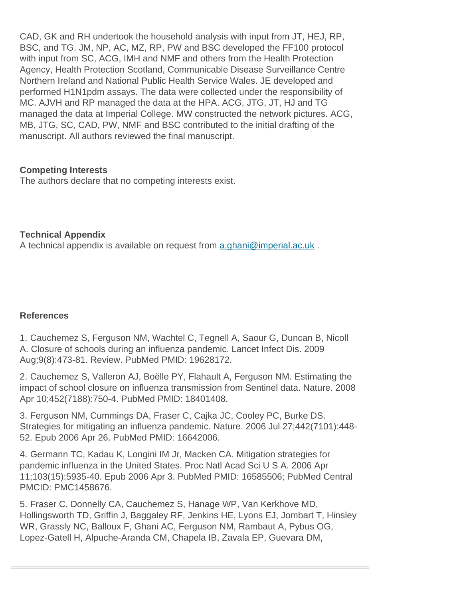CAD, GK and RH undertook the household analysis with input from JT, HEJ, RP, BSC, and TG. JM, NP, AC, MZ, RP, PW and BSC developed the FF100 protocol with input from SC, ACG, IMH and NMF and others from the Health Protection Agency, Health Protection Scotland, Communicable Disease Surveillance Centre Northern Ireland and National Public Health Service Wales. JE developed and performed H1N1pdm assays. The data were collected under the responsibility of MC. AJVH and RP managed the data at the HPA. ACG, JTG, JT, HJ and TG managed the data at Imperial College. MW constructed the network pictures. ACG, MB, JTG, SC, CAD, PW, NMF and BSC contributed to the initial drafting of the manuscript. All authors reviewed the final manuscript.

Competing Interests The authors declare that no competing interests exist.

Technical Appendix A technical appendix is available on request from a.ghani@imperial.ac.uk.

# References

1. Cauchemez S, Ferguson NM, Wachtel C, Tegnell A, Saour G, Duncan B, Nicoll A. Closure of schools during an influenza pandemic. Lancet Infect Dis. 2009 Aug;9(8):473-81. Review. PubMed PMID: 19628172.

2. Cauchemez S, Valleron AJ, Boëlle PY, Flahault A, Ferguson NM. Estimating the impact of school closure on influenza transmission from Sentinel data. Nature. 2008 Apr 10;452(7188):750-4. PubMed PMID: 18401408.

3. Ferguson NM, Cummings DA, Fraser C, Cajka JC, Cooley PC, Burke DS. Strategies for mitigating an influenza pandemic. Nature. 2006 Jul 27;442(7101):448- 52. Epub 2006 Apr 26. PubMed PMID: 16642006.

4. Germann TC, Kadau K, Longini IM Jr, Macken CA. Mitigation strategies for pandemic influenza in the United States. Proc Natl Acad Sci U S A. 2006 Apr 11;103(15):5935-40. Epub 2006 Apr 3. PubMed PMID: 16585506; PubMed Central PMCID: PMC1458676.

5. Fraser C, Donnelly CA, Cauchemez S, Hanage WP, Van Kerkhove MD, Hollingsworth TD, Griffin J, Baggaley RF, Jenkins HE, Lyons EJ, Jombart T, Hinsley WR, Grassly NC, Balloux F, Ghani AC, Ferguson NM, Rambaut A, Pybus OG, Lopez-Gatell H, Alpuche-Aranda CM, Chapela IB, Zavala EP, Guevara DM,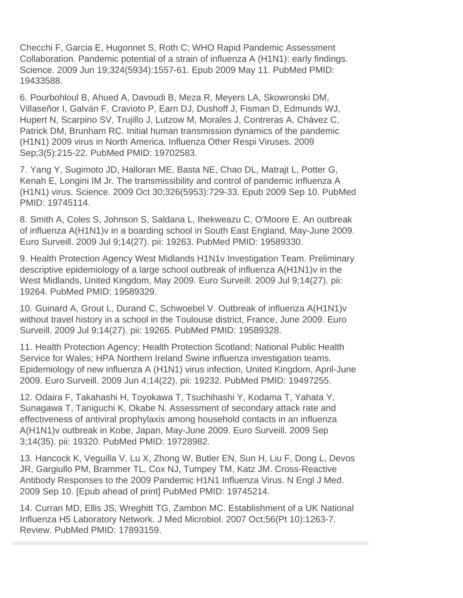Checchi F, Garcia E, Hugonnet S, Roth C; WHO Rapid Pandemic Assessment Collaboration. Pandemic potential of a strain of influenza A (H1N1): early findings. Science. 2009 Jun 19;324(5934):1557-61. Epub 2009 May 11. PubMed PMID: 19433588.

6. Pourbohloul B, Ahued A, Davoudi B, Meza R, Meyers LA, Skowronski DM, Villaseñor I, Galván F, Cravioto P, Earn DJ, Dushoff J, Fisman D, Edmunds WJ, Hupert N, Scarpino SV, Trujillo J, Lutzow M, Morales J, Contreras A, Chávez C, Patrick DM, Brunham RC. Initial human transmission dynamics of the pandemic (H1N1) 2009 virus in North America. Influenza Other Respi Viruses. 2009 Sep;3(5):215-22. PubMed PMID: 19702583.

7. Yang Y, Sugimoto JD, Halloran ME, Basta NE, Chao DL, Matrajt L, Potter G, Kenah E, Longini IM Jr. The transmissibility and control of pandemic influenza A (H1N1) virus. Science. 2009 Oct 30;326(5953):729-33. Epub 2009 Sep 10. PubMed PMID: 19745114.

8. Smith A, Coles S, Johnson S, Saldana L, Ihekweazu C, O'Moore E. An outbreak of influenza A(H1N1)v in a boarding school in South East England, May-June 2009. Euro Surveill. 2009 Jul 9;14(27). pii: 19263. PubMed PMID: 19589330.

9. Health Protection Agency West Midlands H1N1v Investigation Team. Preliminary descriptive epidemiology of a large school outbreak of influenza A(H1N1)v in the West Midlands, United Kingdom, May 2009. Euro Surveill. 2009 Jul 9;14(27). pii: 19264. PubMed PMID: 19589329.

10. Guinard A, Grout L, Durand C, Schwoebel V. Outbreak of influenza A(H1N1)v without travel history in a school in the Toulouse district, France, June 2009. Euro Surveill. 2009 Jul 9;14(27). pii: 19265. PubMed PMID: 19589328.

11. Health Protection Agency; Health Protection Scotland; National Public Health Service for Wales; HPA Northern Ireland Swine influenza investigation teams. Epidemiology of new influenza A (H1N1) virus infection, United Kingdom, April-June 2009. Euro Surveill. 2009 Jun 4;14(22). pii: 19232. PubMed PMID: 19497255.

12. Odaira F, Takahashi H, Toyokawa T, Tsuchihashi Y, Kodama T, Yahata Y, Sunagawa T, Taniguchi K, Okabe N. Assessment of secondary attack rate and effectiveness of antiviral prophylaxis among household contacts in an influenza A(H1N1)v outbreak in Kobe, Japan, May-June 2009. Euro Surveill. 2009 Sep 3;14(35). pii: 19320. PubMed PMID: 19728982.

13. Hancock K, Veguilla V, Lu X, Zhong W, Butler EN, Sun H, Liu F, Dong L, Devos JR, Gargiullo PM, Brammer TL, Cox NJ, Tumpey TM, Katz JM. Cross-Reactive Antibody Responses to the 2009 Pandemic H1N1 Influenza Virus. N Engl J Med. 2009 Sep 10. [Epub ahead of print] PubMed PMID: 19745214.

14. Curran MD, Ellis JS, Wreghitt TG, Zambon MC. Establishment of a UK National Influenza H5 Laboratory Network. J Med Microbiol. 2007 Oct;56(Pt 10):1263-7. Review. PubMed PMID: 17893159.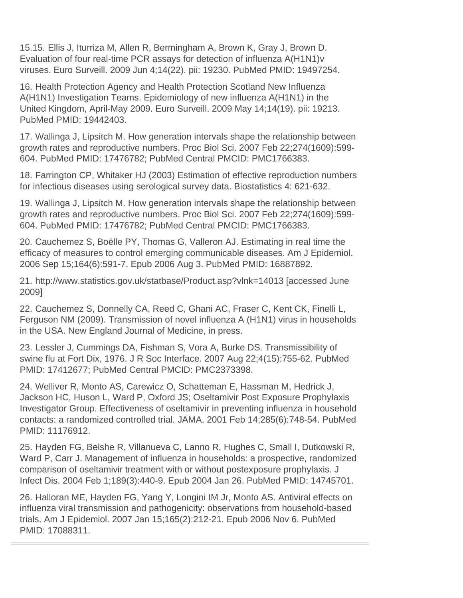15.15. Ellis J, Iturriza M, Allen R, Bermingham A, Brown K, Gray J, Brown D. Evaluation of four real-time PCR assays for detection of influenza A(H1N1)v viruses. Euro Surveill. 2009 Jun 4;14(22). pii: 19230. PubMed PMID: 19497254.

16. Health Protection Agency and Health Protection Scotland New Influenza A(H1N1) Investigation Teams. Epidemiology of new influenza A(H1N1) in the United Kingdom, April-May 2009. Euro Surveill. 2009 May 14;14(19). pii: 19213. PubMed PMID: 19442403.

17. Wallinga J, Lipsitch M. How generation intervals shape the relationship between growth rates and reproductive numbers. Proc Biol Sci. 2007 Feb 22;274(1609):599- 604. PubMed PMID: 17476782; PubMed Central PMCID: PMC1766383.

18. Farrington CP, Whitaker HJ (2003) Estimation of effective reproduction numbers for infectious diseases using serological survey data. Biostatistics 4: 621-632.

19. Wallinga J, Lipsitch M. How generation intervals shape the relationship between growth rates and reproductive numbers. Proc Biol Sci. 2007 Feb 22;274(1609):599- 604. PubMed PMID: 17476782; PubMed Central PMCID: PMC1766383.

20. Cauchemez S, Boëlle PY, Thomas G, Valleron AJ. Estimating in real time the efficacy of measures to control emerging communicable diseases. Am J Epidemiol. 2006 Sep 15;164(6):591-7. Epub 2006 Aug 3. PubMed PMID: 16887892.

21. http://www.statistics.gov.uk/statbase/Product.asp?vlnk=14013 [accessed June 2009]

22. Cauchemez S, Donnelly CA, Reed C, Ghani AC, Fraser C, Kent CK, Finelli L, Ferguson NM (2009). Transmission of novel influenza A (H1N1) virus in households in the USA. New England Journal of Medicine, in press.

23. Lessler J, Cummings DA, Fishman S, Vora A, Burke DS. Transmissibility of swine flu at Fort Dix, 1976. J R Soc Interface. 2007 Aug 22;4(15):755-62. PubMed PMID: 17412677; PubMed Central PMCID: PMC2373398.

24. Welliver R, Monto AS, Carewicz O, Schatteman E, Hassman M, Hedrick J, Jackson HC, Huson L, Ward P, Oxford JS; Oseltamivir Post Exposure Prophylaxis Investigator Group. Effectiveness of oseltamivir in preventing influenza in household contacts: a randomized controlled trial. JAMA. 2001 Feb 14;285(6):748-54. PubMed PMID: 11176912.

25. Hayden FG, Belshe R, Villanueva C, Lanno R, Hughes C, Small I, Dutkowski R, Ward P, Carr J. Management of influenza in households: a prospective, randomized comparison of oseltamivir treatment with or without postexposure prophylaxis. J Infect Dis. 2004 Feb 1;189(3):440-9. Epub 2004 Jan 26. PubMed PMID: 14745701.

26. Halloran ME, Hayden FG, Yang Y, Longini IM Jr, Monto AS. Antiviral effects on influenza viral transmission and pathogenicity: observations from household-based trials. Am J Epidemiol. 2007 Jan 15;165(2):212-21. Epub 2006 Nov 6. PubMed PMID: 17088311.